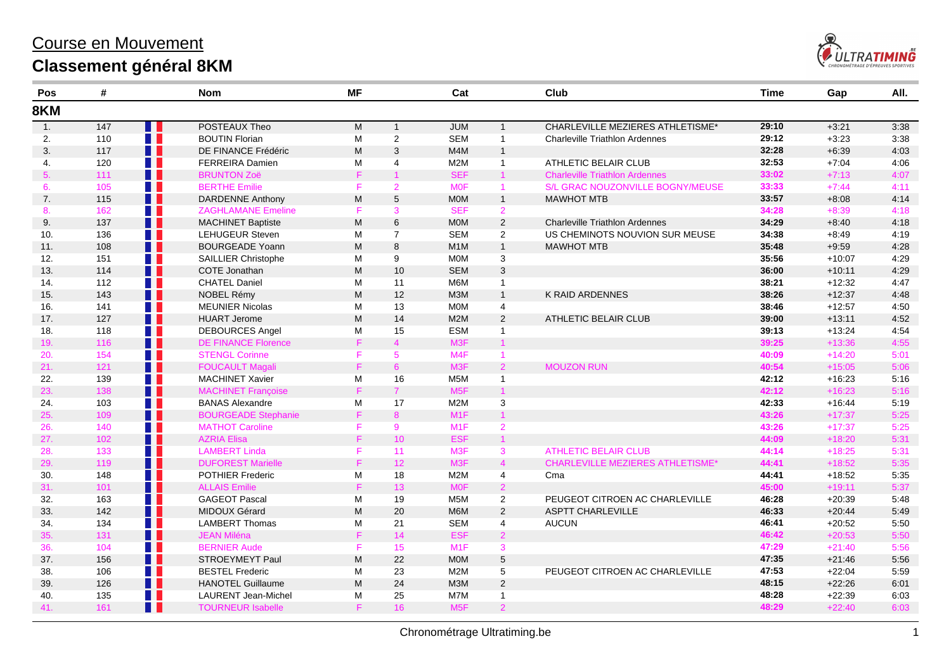## Course en Mouvement **Classement général 8KM**



| Pos              | #                 |                | <b>Nom</b>                 | <b>MF</b> |                 | Cat              |                | Club                                    | Time  | Gap      | All. |
|------------------|-------------------|----------------|----------------------------|-----------|-----------------|------------------|----------------|-----------------------------------------|-------|----------|------|
| 8KM              |                   |                |                            |           |                 |                  |                |                                         |       |          |      |
| $\overline{1}$ . | $\frac{147}{147}$ | H              | POSTEAUX Theo              | M         | $\mathbf{1}$    | <b>JUM</b>       | $\mathbf{1}$   | CHARLEVILLE MEZIERES ATHLETISME*        | 29:10 | $+3:21$  | 3:38 |
| 2.               | 110               | H              | <b>BOUTIN Florian</b>      | M         | $\overline{2}$  | <b>SEM</b>       | $\overline{1}$ | <b>Charleville Triathlon Ardennes</b>   | 29:12 | $+3:23$  | 3:38 |
| 3.               | 117               | $\blacksquare$ | DE FINANCE Frédéric        | M         | 3               | M4M              | $\overline{1}$ |                                         | 32:28 | $+6:39$  | 4:03 |
| 4.               | 120               | w              | <b>FERREIRA Damien</b>     | M         | $\overline{4}$  | M <sub>2</sub> M | $\overline{1}$ | ATHLETIC BELAIR CLUB                    | 32:53 | $+7:04$  | 4:06 |
| 5.               | 111               | H.             | <b>BRUNTON Zoë</b>         | F         | $\mathbf{1}$    | <b>SEF</b>       | $\mathbf{1}$   | <b>Charleville Triathlon Ardennes</b>   | 33:02 | $+7:13$  | 4:07 |
| 6.               | 105               | H.             | <b>BERTHE Emilie</b>       | F         | $\overline{2}$  | <b>MOF</b>       | 1              | S/L GRAC NOUZONVILLE BOGNY/MEUSE        | 33:33 | $+7:44$  | 4:11 |
| 7.               | 115               | n n            | <b>DARDENNE Anthony</b>    | M         | 5               | <b>MOM</b>       | $\overline{1}$ | <b>MAWHOT MTB</b>                       | 33:57 | $+8:08$  | 4:14 |
| 8.               | 162               | H              | <b>ZAGHLAMANE Emeline</b>  | F         | 3               | <b>SEF</b>       | $\overline{2}$ |                                         | 34:28 | $+8:39$  | 4:18 |
| 9.               | 137               | H H            | <b>MACHINET Baptiste</b>   | M         | 6               | <b>MOM</b>       | $\overline{2}$ | <b>Charleville Triathlon Ardennes</b>   | 34:29 | $+8:40$  | 4:18 |
| 10.              | 136               | w              | <b>LEHUGEUR Steven</b>     | M         | $\overline{7}$  | <b>SEM</b>       | $\overline{2}$ | US CHEMINOTS NOUVION SUR MEUSE          | 34:38 | $+8.49$  | 4:19 |
| 11.              | 108               | $\blacksquare$ | <b>BOURGEADE Yoann</b>     | M         | 8               | M <sub>1</sub> M | $\overline{1}$ | <b>MAWHOT MTB</b>                       | 35:48 | $+9:59$  | 4:28 |
| 12.              | 151               | M.             | <b>SAILLIER Christophe</b> | M         | 9               | <b>MOM</b>       | 3              |                                         | 35:56 | $+10:07$ | 4:29 |
| 13.              | 114               | H I            | COTE Jonathan              | M         | 10              | <b>SEM</b>       | 3              |                                         | 36:00 | $+10.11$ | 4:29 |
| 14.              | 112               | H.             | <b>CHATEL Daniel</b>       | M         | 11              | M6M              | $\mathbf{1}$   |                                         | 38:21 | $+12:32$ | 4:47 |
| 15.              | 143               | $\blacksquare$ | NOBEL Rémy                 | M         | 12              | МЗМ              | $\mathbf{1}$   | K RAID ARDENNES                         | 38:26 | $+12:37$ | 4:48 |
| 16.              | 141               | H              | <b>MEUNIER Nicolas</b>     | M         | 13              | <b>MOM</b>       | $\overline{4}$ |                                         | 38:46 | $+12:57$ | 4:50 |
| 17.              | 127               | H T            | <b>HUART Jerome</b>        | M         | 14              | M <sub>2</sub> M | 2              | ATHLETIC BELAIR CLUB                    | 39:00 | $+13:11$ | 4:52 |
| 18.              | 118               | H.             | <b>DEBOURCES Angel</b>     | M         | 15              | <b>ESM</b>       | $\mathbf{1}$   |                                         | 39:13 | $+13:24$ | 4:54 |
| 19.              | 116               | $\blacksquare$ | <b>DE FINANCE Florence</b> | F         | $\overline{4}$  | M <sub>3</sub> F | $\mathbf{1}$   |                                         | 39:25 | $+13:36$ | 4:55 |
| 20.              | 154               | . .            | <b>STENGL Corinne</b>      | F         | 5               | M <sub>4F</sub>  | 1              |                                         | 40:09 | $+14:20$ | 5:01 |
| 21.              | 121               | $\blacksquare$ | <b>FOUCAULT Magali</b>     | F         | 6 <sup>1</sup>  | M <sub>3</sub> F | $\overline{2}$ | <b>MOUZON RUN</b>                       | 40:54 | $+15:05$ | 5:06 |
| 22.              | 139               | H              | <b>MACHINET Xavier</b>     | M         | 16              | M <sub>5</sub> M | $\overline{1}$ |                                         | 42:12 | $+16:23$ | 5:16 |
| 23.              | 138               | H              | <b>MACHINET Françoise</b>  | F         | $7^{\circ}$     | M <sub>5F</sub>  | $\overline{1}$ |                                         | 42:12 | $+16:23$ | 5:16 |
| 24.              | 103               | $\blacksquare$ | <b>BANAS Alexandre</b>     | M         | 17              | M <sub>2</sub> M | 3              |                                         | 42:33 | $+16:44$ | 5:19 |
| 25.              | 109               | H.             | <b>BOURGEADE Stephanie</b> | F.        | 8 <sup>1</sup>  | M <sub>1</sub> F | $\mathbf{1}$   |                                         | 43:26 | $+17:37$ | 5:25 |
| 26.              | 140               | H I            | <b>MATHOT Caroline</b>     | F         | 9               | M <sub>1</sub> F | $\overline{2}$ |                                         | 43:26 | $+17:37$ | 5:25 |
| 27.              | 102               | H              | <b>AZRIA Elisa</b>         | F.        | 10 <sup>°</sup> | <b>ESF</b>       | $\mathbf{1}$   |                                         | 44:09 | $+18:20$ | 5:31 |
| 28.              | 133               | M.             | <b>LAMBERT Linda</b>       | F         | 11              | M <sub>3</sub> F | 3              | <b>ATHLETIC BELAIR CLUB</b>             | 44:14 | $+18:25$ | 5:31 |
| 29.              | 119               | H              | <b>DUFOREST Marielle</b>   | F         | 12 <sup>°</sup> | M <sub>3F</sub>  | $\overline{4}$ | <b>CHARLEVILLE MEZIERES ATHLETISME*</b> | 44:41 | $+18:52$ | 5:35 |
| 30.              | 148               | H.             | POTHIER Frederic           | M         | 18              | M <sub>2</sub> M | $\overline{4}$ | Cma                                     | 44:41 | $+18:52$ | 5:35 |
| 31.              | 101               | Ш              | <b>ALLAIS Emilie</b>       | F         | 13              | <b>MOF</b>       | 2              |                                         | 45:00 | $+19:11$ | 5:37 |
| 32.              | 163               | w              | <b>GAGEOT Pascal</b>       | M         | 19              | M <sub>5</sub> M | $\overline{2}$ | PEUGEOT CITROEN AC CHARLEVILLE          | 46:28 | $+20:39$ | 5:48 |
| 33.              | 142               | Ш              | MIDOUX Gérard              | M         | 20              | M6M              | $\overline{2}$ | <b>ASPTT CHARLEVILLE</b>                | 46:33 | $+20:44$ | 5:49 |
| 34.              | 134               | ш              | <b>LAMBERT Thomas</b>      | M         | 21              | <b>SEM</b>       | 4              | <b>AUCUN</b>                            | 46:41 | $+20:52$ | 5:50 |
| 35.              | 131               | П              | <b>JEAN Miléna</b>         | F         | 14              | <b>ESF</b>       | $\overline{2}$ |                                         | 46:42 | $+20:53$ | 5:50 |
| 36.              | 104               | . .            | <b>BERNIER Aude</b>        | F         | 15              | M <sub>1</sub> F | $\mathbf{3}$   |                                         | 47:29 | $+21:40$ | 5:56 |
| 37.              | 156               | <b>. .</b>     | STROEYMEYT Paul            | M         | 22              | <b>MOM</b>       | $\sqrt{5}$     |                                         | 47:35 | $+21:46$ | 5:56 |
| 38.              | 106               | <b>TELE</b>    | <b>BESTEL Frederic</b>     | M         | 23              | M <sub>2</sub> M | 5              | PEUGEOT CITROEN AC CHARLEVILLE          | 47:53 | $+22:04$ | 5:59 |
| 39.              | 126               | H H            | <b>HANOTEL Guillaume</b>   | M         | 24              | M3M              | 2              |                                         | 48:15 | $+22:26$ | 6:01 |
| 40.              | 135               | Ш              | <b>LAURENT Jean-Michel</b> | M         | 25              | M7M              | $\overline{1}$ |                                         | 48:28 | $+22:39$ | 6:03 |
| 41.              | 161               | R E            | <b>TOURNEUR Isabelle</b>   | F         | 16              | M <sub>5</sub> F | $\overline{2}$ |                                         | 48:29 | $+22:40$ | 6:03 |
|                  |                   |                |                            |           |                 |                  |                |                                         |       |          |      |